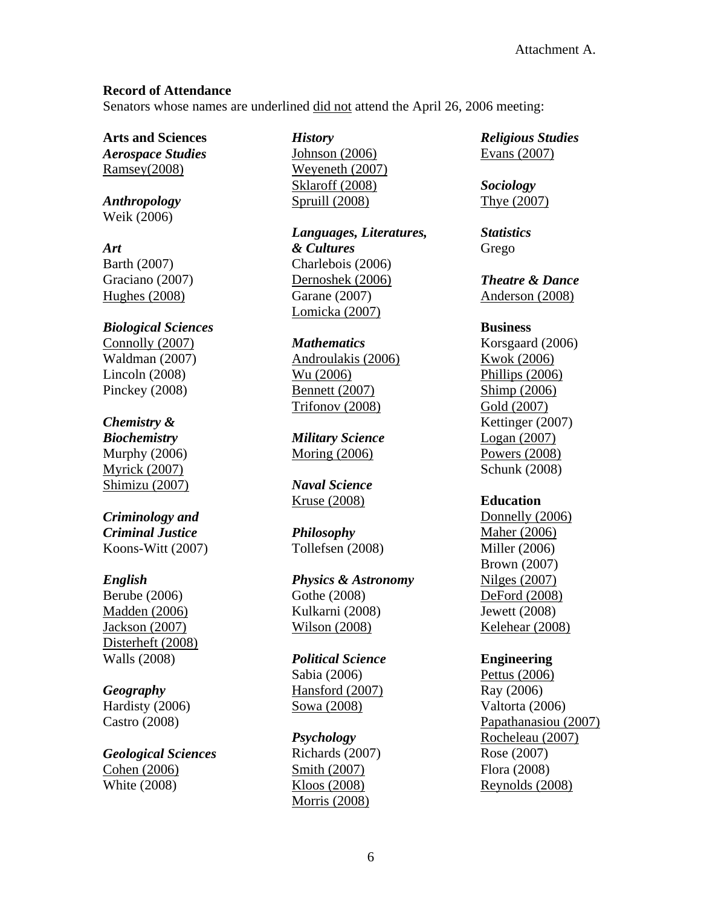# **Record of Attendance**

Senators whose names are underlined did not attend the April 26, 2006 meeting:

**Arts and Sciences**  *Aerospace Studies* Ramsey(2008)

*Anthropology* Weik (2006)

*Art*  Barth (2007) Graciano (2007) Hughes (2008)

*Biological Sciences* Connolly (2007) Waldman (2007) Lincoln (2008) Pinckey (2008)

# *Chemistry &*

*Biochemistry*  Murphy (2006) Myrick (2007) Shimizu (2007)

*Criminology and Criminal Justice*  Koons-Witt (2007)

## *English*

Berube (2006) Madden (2006) Jackson (2007) Disterheft (2008) Walls (2008)

## *Geography*

Hardisty (2006) Castro (2008)

*Geological Sciences*  Cohen (2006) White (2008)

*History* 

Johnson (2006) Weyeneth (2007) Sklaroff (2008) Spruill (2008)

*Languages, Literatures, & Cultures* Charlebois (2006) Dernoshek (2006) Garane (2007) Lomicka (2007)

*Mathematics* 

Androulakis (2006) Wu (2006) Bennett (2007) Trifonov (2008)

*Military Science*  Moring (2006)

*Naval Science*  Kruse (2008)

*Philosophy* Tollefsen (2008)

*Physics & Astronomy* Gothe (2008) Kulkarni (2008) Wilson (2008)

*Political Science*  Sabia (2006) Hansford (2007) Sowa (2008)

*Psychology* Richards (2007) Smith (2007) Kloos (2008) Morris (2008)

*Religious Studies*  Evans (2007)

*Sociology*  Thye (2007)

*Statistics* Grego

*Theatre & Dance*  Anderson (2008)

## **Business**

Korsgaard (2006) Kwok (2006) Phillips (2006) Shimp (2006) Gold (2007) Kettinger (2007) Logan (2007) Powers (2008) Schunk (2008)

## **Education**

Donnelly (2006) Maher (2006) Miller (2006) Brown (2007) Nilges (2007) DeFord (2008) Jewett (2008) Kelehear (2008)

## **Engineering**

Pettus (2006) Ray (2006) Valtorta (2006) Papathanasiou (2007) Rocheleau (2007) Rose (2007) Flora (2008) Reynolds (2008)